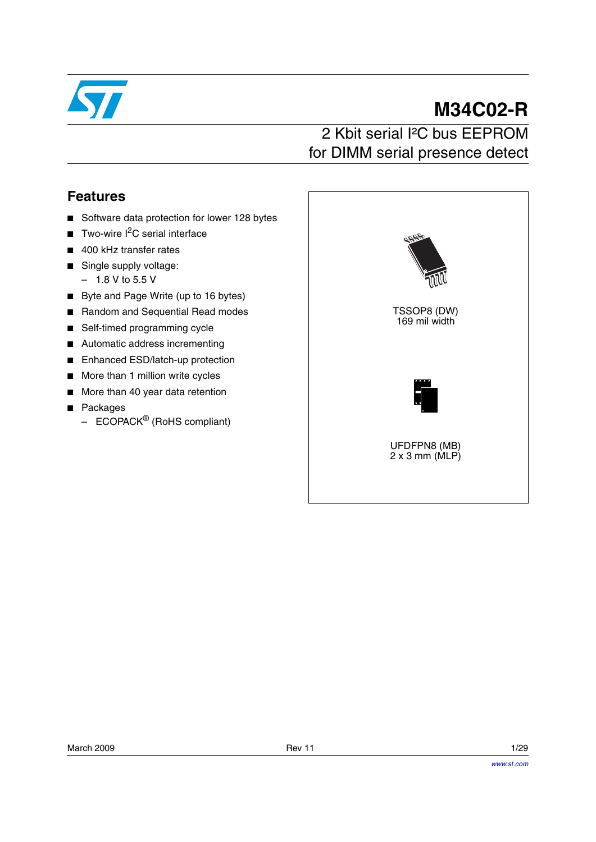

# **M34C02-R**

# 2 Kbit serial I²C bus EEPROM for DIMM serial presence detect

# **Features**

- Software data protection for lower 128 bytes
- Two-wire  $I^2C$  serial interface
- 400 kHz transfer rates
- Single supply voltage:
	- $-1.8$  V to 5.5 V
- Byte and Page Write (up to 16 bytes)
- Random and Sequential Read modes
- Self-timed programming cycle
- Automatic address incrementing
- Enhanced ESD/latch-up protection
- More than 1 million write cycles
- More than 40 year data retention
- Packages
	- $-$  ECOPACK<sup>®</sup> (RoHS compliant)

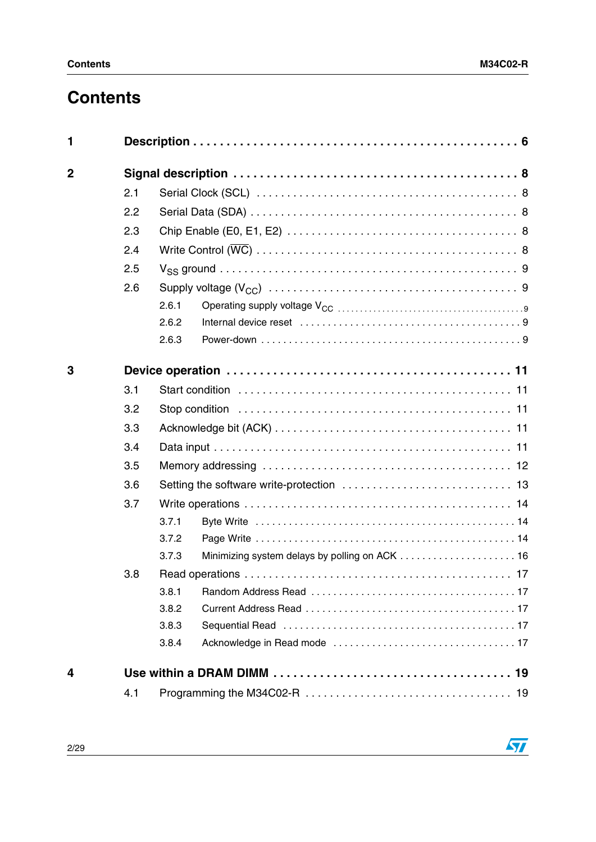# **Contents**

| 1              |     |       |  |  |  |  |  |  |
|----------------|-----|-------|--|--|--|--|--|--|
| $\overline{2}$ |     |       |  |  |  |  |  |  |
|                | 2.1 |       |  |  |  |  |  |  |
|                | 2.2 |       |  |  |  |  |  |  |
|                | 2.3 |       |  |  |  |  |  |  |
|                | 2.4 |       |  |  |  |  |  |  |
|                | 2.5 |       |  |  |  |  |  |  |
|                | 2.6 |       |  |  |  |  |  |  |
|                |     | 2.6.1 |  |  |  |  |  |  |
|                |     | 2.6.2 |  |  |  |  |  |  |
|                |     | 2.6.3 |  |  |  |  |  |  |
| 3              |     |       |  |  |  |  |  |  |
|                | 3.1 |       |  |  |  |  |  |  |
|                | 3.2 |       |  |  |  |  |  |  |
|                | 3.3 |       |  |  |  |  |  |  |
|                | 3.4 |       |  |  |  |  |  |  |
|                | 3.5 |       |  |  |  |  |  |  |
|                | 3.6 |       |  |  |  |  |  |  |
|                | 3.7 |       |  |  |  |  |  |  |
|                |     | 3.7.1 |  |  |  |  |  |  |
|                |     | 3.7.2 |  |  |  |  |  |  |
|                |     | 3.7.3 |  |  |  |  |  |  |
|                | 3.8 |       |  |  |  |  |  |  |
|                |     | 3.8.1 |  |  |  |  |  |  |
|                |     | 3.8.2 |  |  |  |  |  |  |
|                |     | 3.8.3 |  |  |  |  |  |  |
|                |     | 3.8.4 |  |  |  |  |  |  |
| 4              |     | 19    |  |  |  |  |  |  |
|                | 4.1 |       |  |  |  |  |  |  |

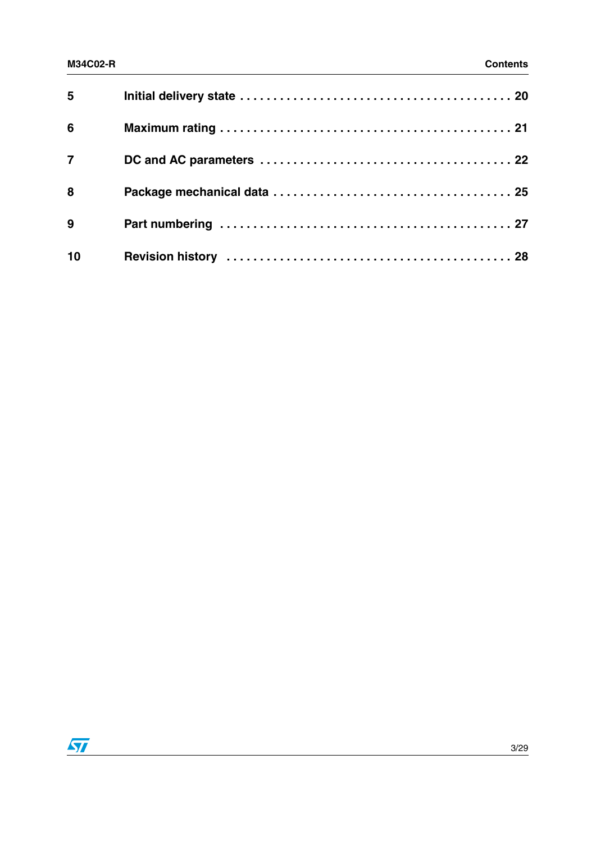| 5 <sup>1</sup> |  |
|----------------|--|
| $6\phantom{1}$ |  |
| $\overline{7}$ |  |
| 8              |  |
| 9              |  |
| 10             |  |

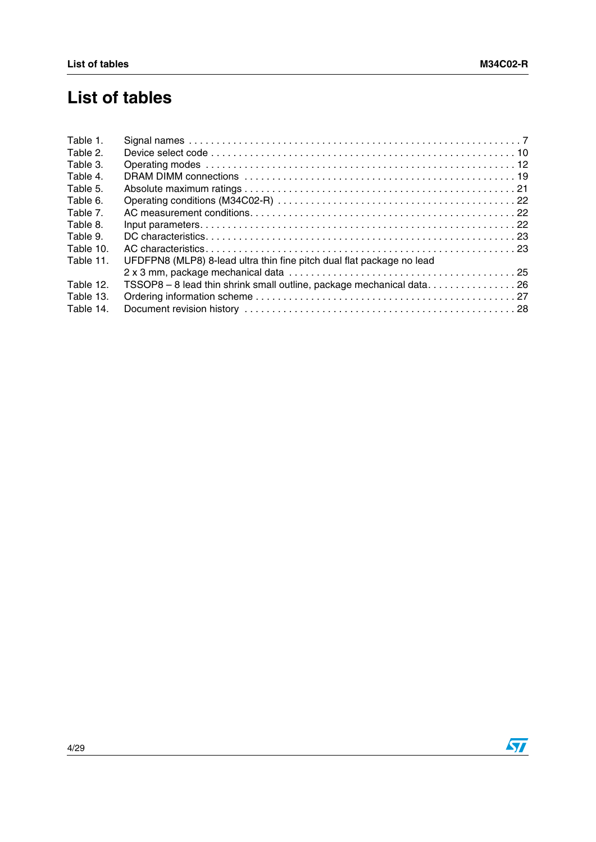# **List of tables**

| Table 1.  |                                                                       |
|-----------|-----------------------------------------------------------------------|
| Table 2.  |                                                                       |
| Table 3.  |                                                                       |
| Table 4.  |                                                                       |
| Table 5.  |                                                                       |
| Table 6.  |                                                                       |
| Table 7.  |                                                                       |
| Table 8.  |                                                                       |
| Table 9.  |                                                                       |
| Table 10. |                                                                       |
| Table 11. | UFDFPN8 (MLP8) 8-lead ultra thin fine pitch dual flat package no lead |
|           |                                                                       |
| Table 12. | TSSOP8 - 8 lead thin shrink small outline, package mechanical data26  |
| Table 13. |                                                                       |
| Table 14. |                                                                       |
|           |                                                                       |

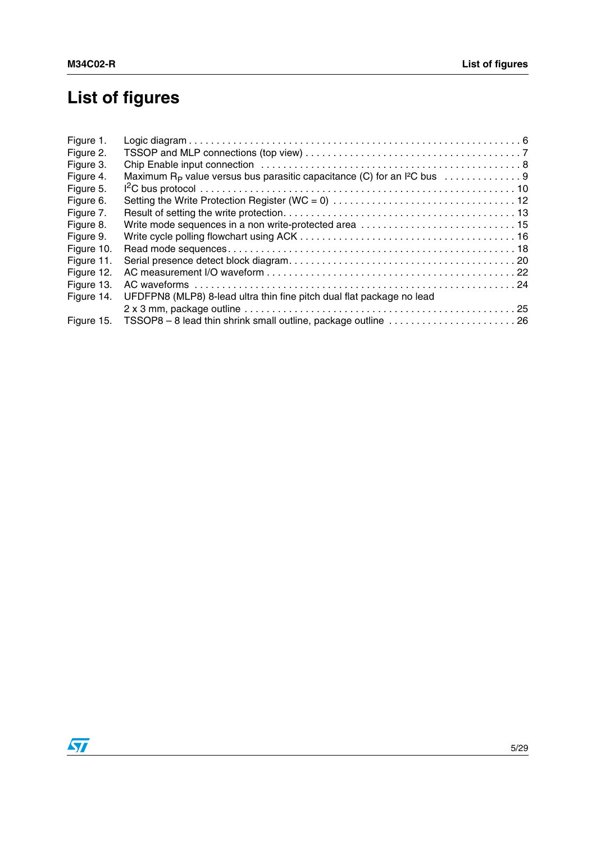# **List of figures**

| Figure 1.  |                                                                       |  |
|------------|-----------------------------------------------------------------------|--|
| Figure 2.  |                                                                       |  |
| Figure 3.  |                                                                       |  |
| Figure 4.  |                                                                       |  |
| Figure 5.  |                                                                       |  |
| Figure 6.  |                                                                       |  |
| Figure 7.  |                                                                       |  |
| Figure 8.  | Write mode sequences in a non write-protected area  15                |  |
| Figure 9.  |                                                                       |  |
| Figure 10. |                                                                       |  |
| Figure 11. |                                                                       |  |
| Figure 12. |                                                                       |  |
| Figure 13. |                                                                       |  |
| Figure 14. | UFDFPN8 (MLP8) 8-lead ultra thin fine pitch dual flat package no lead |  |
|            |                                                                       |  |
| Figure 15. |                                                                       |  |
|            |                                                                       |  |

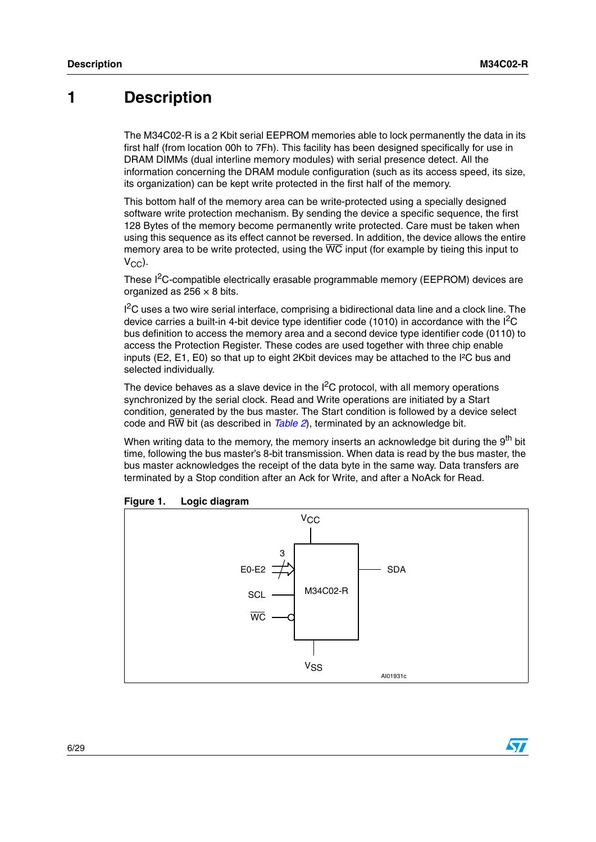# <span id="page-5-0"></span>**1 Description**

The M34C02-R is a 2 Kbit serial EEPROM memories able to lock permanently the data in its first half (from location 00h to 7Fh). This facility has been designed specifically for use in DRAM DIMMs (dual interline memory modules) with serial presence detect. All the information concerning the DRAM module configuration (such as its access speed, its size, its organization) can be kept write protected in the first half of the memory.

This bottom half of the memory area can be write-protected using a specially designed software write protection mechanism. By sending the device a specific sequence, the first 128 Bytes of the memory become permanently write protected. Care must be taken when using this sequence as its effect cannot be reversed. In addition, the device allows the entire memory area to be write protected, using the  $\overline{WC}$  input (for example by tieing this input to  $V_{\text{CC}}$ ).

These I2C-compatible electrically erasable programmable memory (EEPROM) devices are organized as  $256 \times 8$  bits.

<sup>12</sup>C uses a two wire serial interface, comprising a bidirectional data line and a clock line. The device carries a built-in 4-bit device type identifier code (1010) in accordance with the  ${}^{12}C$ bus definition to access the memory area and a second device type identifier code (0110) to access the Protection Register. These codes are used together with three chip enable inputs (E2, E1, E0) so that up to eight 2Kbit devices may be attached to the I²C bus and selected individually.

The device behaves as a slave device in the  $I^2C$  protocol, with all memory operations synchronized by the serial clock. Read and Write operations are initiated by a Start condition, generated by the bus master. The Start condition is followed by a device select code and RW bit (as described in *[Table 2](#page-9-0)*), terminated by an acknowledge bit.

When writing data to the memory, the memory inserts an acknowledge bit during the 9<sup>th</sup> bit time, following the bus master's 8-bit transmission. When data is read by the bus master, the bus master acknowledges the receipt of the data byte in the same way. Data transfers are terminated by a Stop condition after an Ack for Write, and after a NoAck for Read.



<span id="page-5-1"></span>

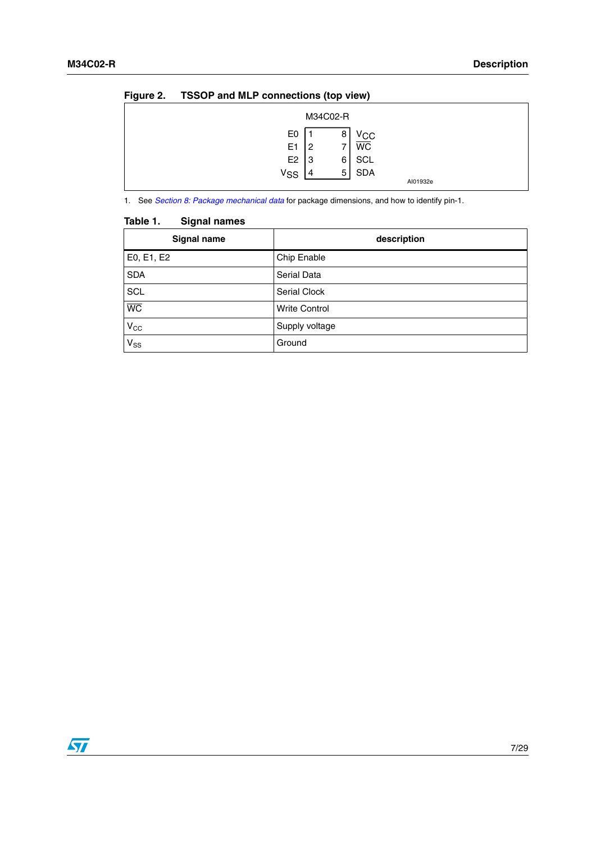| ◡                                                               | M34C02-R                      |                                              |          |
|-----------------------------------------------------------------|-------------------------------|----------------------------------------------|----------|
| E0<br>E <sub>1</sub><br>E <sub>2</sub><br><b>V<sub>SS</sub></b> | 8<br>2<br>6<br>IЗ<br>5<br>l 4 | ∨сс<br><b>WC</b><br><b>SCL</b><br><b>SDA</b> | AI01932e |

#### <span id="page-6-1"></span>**Figure 2. TSSOP and MLP connections (top view)**

1. See *[Section 8: Package mechanical data](#page-24-0)* for package dimensions, and how to identify pin-1.

| Signal name     | description          |
|-----------------|----------------------|
| E0, E1, E2      | Chip Enable          |
| <b>SDA</b>      | Serial Data          |
| <b>SCL</b>      | Serial Clock         |
| $\overline{WC}$ | <b>Write Control</b> |
| $V_{CC}$        | Supply voltage       |
| $V_{SS}$        | Ground               |

#### <span id="page-6-0"></span>**Table 1. Signal names**

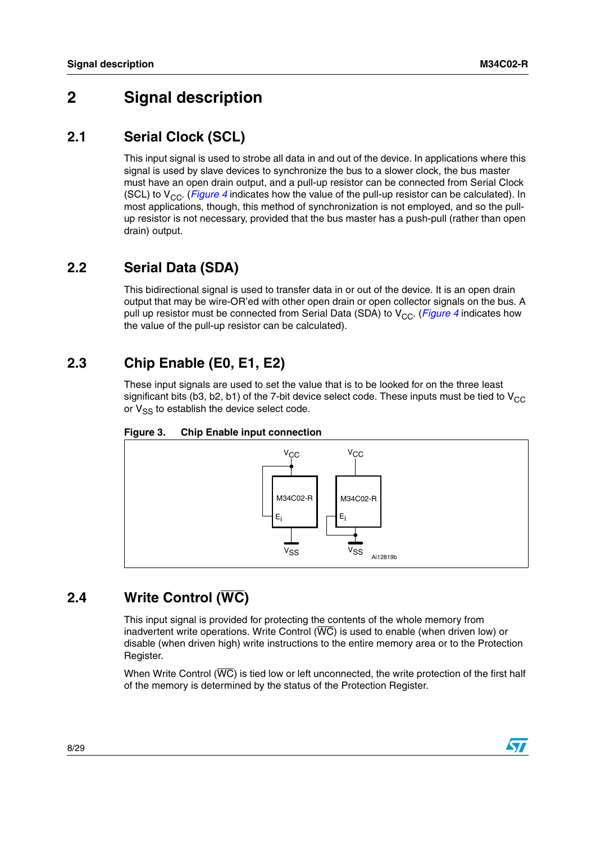# <span id="page-7-0"></span>**2 Signal description**

### <span id="page-7-1"></span>**2.1 Serial Clock (SCL)**

This input signal is used to strobe all data in and out of the device. In applications where this signal is used by slave devices to synchronize the bus to a slower clock, the bus master must have an open drain output, and a pull-up resistor can be connected from Serial Clock (SCL) to V<sub>CC</sub>. (*[Figure 4](#page-8-5)* indicates how the value of the pull-up resistor can be calculated). In most applications, though, this method of synchronization is not employed, and so the pullup resistor is not necessary, provided that the bus master has a push-pull (rather than open drain) output.

## <span id="page-7-2"></span>**2.2 Serial Data (SDA)**

This bidirectional signal is used to transfer data in or out of the device. It is an open drain output that may be wire-OR'ed with other open drain or open collector signals on the bus. A pull up resistor must be connected from Serial Data (SDA) to V<sub>CC</sub>. (*[Figure 4](#page-8-5)* indicates how the value of the pull-up resistor can be calculated).

## <span id="page-7-3"></span>**2.3 Chip Enable (E0, E1, E2)**

These input signals are used to set the value that is to be looked for on the three least significant bits (b3, b2, b1) of the 7-bit device select code. These inputs must be tied to  $V_{CC}$ or  $V_{SS}$  to establish the device select code.



<span id="page-7-5"></span>

## <span id="page-7-4"></span>**2.4 Write Control (WC)**

This input signal is provided for protecting the contents of the whole memory from inadvertent write operations. Write Control  $(\overline{WC})$  is used to enable (when driven low) or disable (when driven high) write instructions to the entire memory area or to the Protection Register.

When Write Control ( $\overline{WC}$ ) is tied low or left unconnected, the write protection of the first half of the memory is determined by the status of the Protection Register.

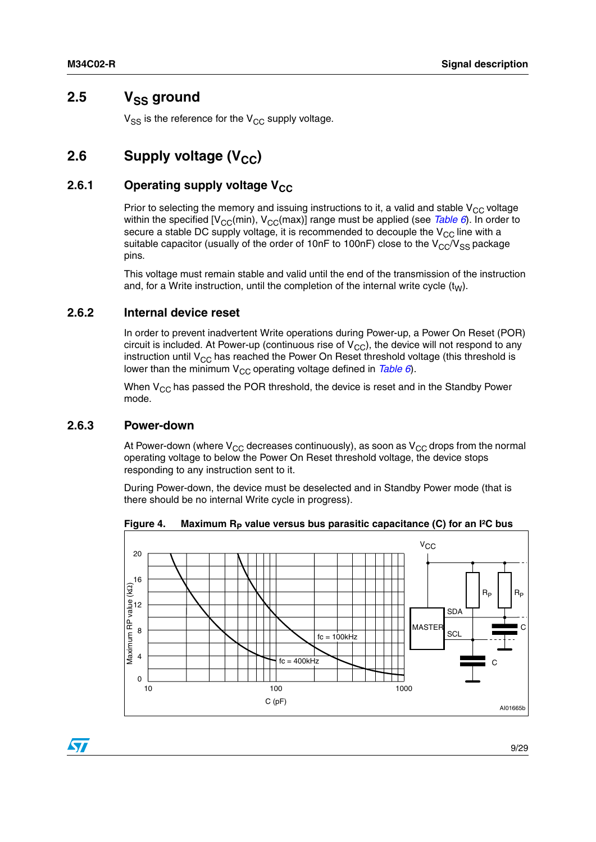### <span id="page-8-0"></span>2.5 V<sub>SS</sub> ground

 $V_{SS}$  is the reference for the  $V_{CC}$  supply voltage.

# <span id="page-8-1"></span>**2.6** Supply voltage (V<sub>CC</sub>)

#### <span id="page-8-2"></span>**2.6.1** Operating supply voltage V<sub>CC</sub>

Prior to selecting the memory and issuing instructions to it, a valid and stable  $V_{CC}$  voltage within the specified [V<sub>CC</sub>(min), V<sub>CC</sub>(max)] range must be applied (see *[Table 6](#page-21-1)*). In order to secure a stable DC supply voltage, it is recommended to decouple the  $V_{CC}$  line with a suitable capacitor (usually of the order of 10nF to 100nF) close to the  $V_{\rm CC}/V_{\rm SS}$  package pins.

This voltage must remain stable and valid until the end of the transmission of the instruction and, for a Write instruction, until the completion of the internal write cycle  $(t_W)$ .

#### <span id="page-8-3"></span>**2.6.2 Internal device reset**

In order to prevent inadvertent Write operations during Power-up, a Power On Reset (POR) circuit is included. At Power-up (continuous rise of  $V_{CC}$ ), the device will not respond to any instruction until  $V_{CC}$  has reached the Power On Reset threshold voltage (this threshold is lower than the minimum V<sub>CC</sub> operating voltage defined in *[Table 6](#page-21-1)*).

When  $V_{CC}$  has passed the POR threshold, the device is reset and in the Standby Power mode.

#### <span id="page-8-4"></span>**2.6.3 Power-down**

At Power-down (where  $V_{CC}$  decreases continuously), as soon as  $V_{CC}$  drops from the normal operating voltage to below the Power On Reset threshold voltage, the device stops responding to any instruction sent to it.

During Power-down, the device must be deselected and in Standby Power mode (that is there should be no internal Write cycle in progress).

<span id="page-8-5"></span>Figure 4. Maximum R<sub>P</sub> value versus bus parasitic capacitance (C) for an I<sup>2</sup>C bus



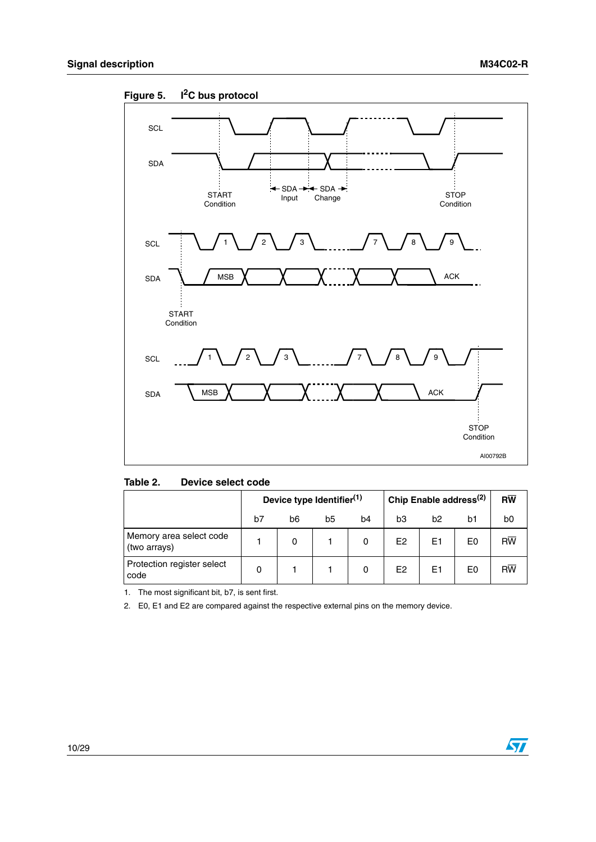

<span id="page-9-1"></span>**Figure 5. I2C bus protocol**

<span id="page-9-0"></span>

|  | Table 2. | Device select code |
|--|----------|--------------------|
|--|----------|--------------------|

|                                         | Device type Identifier <sup>(1)</sup> |    |    | Chip Enable address <sup>(2)</sup> |                |                | $R\overline{W}$ |                |
|-----------------------------------------|---------------------------------------|----|----|------------------------------------|----------------|----------------|-----------------|----------------|
|                                         | b7                                    | b6 | b5 | b4                                 | bЗ             | b2             | b1              | b <sub>0</sub> |
| Memory area select code<br>(two arrays) |                                       | 0  |    |                                    | E <sub>2</sub> | E <sub>1</sub> | E0              | <b>RW</b>      |
| Protection register select<br>code      |                                       |    |    |                                    | E2             | E1             | E0              | <b>RW</b>      |

1. The most significant bit, b7, is sent first.

2. E0, E1 and E2 are compared against the respective external pins on the memory device.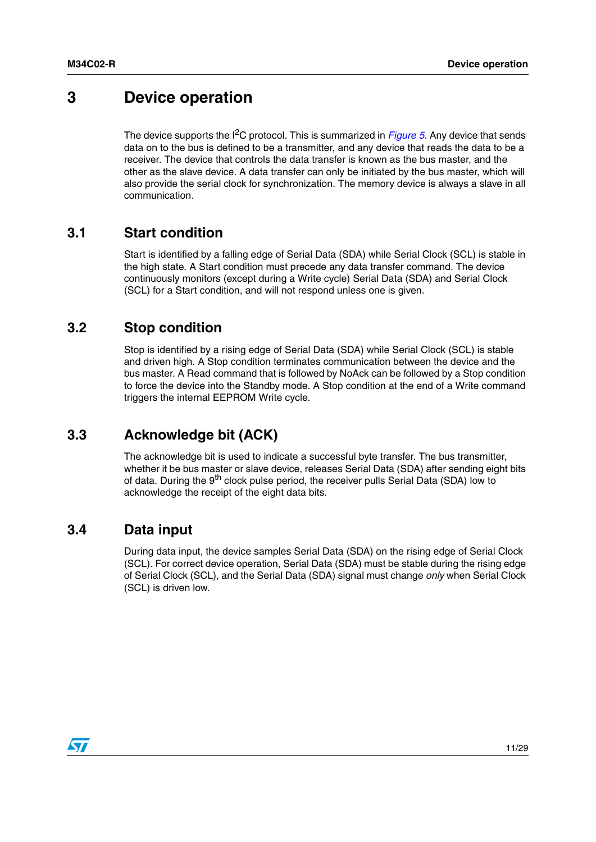# <span id="page-10-0"></span>**3 Device operation**

The device supports the I<sup>2</sup>C protocol. This is summarized in *[Figure 5](#page-9-1)*. Any device that sends data on to the bus is defined to be a transmitter, and any device that reads the data to be a receiver. The device that controls the data transfer is known as the bus master, and the other as the slave device. A data transfer can only be initiated by the bus master, which will also provide the serial clock for synchronization. The memory device is always a slave in all communication.

### <span id="page-10-1"></span>**3.1 Start condition**

Start is identified by a falling edge of Serial Data (SDA) while Serial Clock (SCL) is stable in the high state. A Start condition must precede any data transfer command. The device continuously monitors (except during a Write cycle) Serial Data (SDA) and Serial Clock (SCL) for a Start condition, and will not respond unless one is given.

### <span id="page-10-2"></span>**3.2 Stop condition**

Stop is identified by a rising edge of Serial Data (SDA) while Serial Clock (SCL) is stable and driven high. A Stop condition terminates communication between the device and the bus master. A Read command that is followed by NoAck can be followed by a Stop condition to force the device into the Standby mode. A Stop condition at the end of a Write command triggers the internal EEPROM Write cycle.

## <span id="page-10-3"></span>**3.3 Acknowledge bit (ACK)**

The acknowledge bit is used to indicate a successful byte transfer. The bus transmitter, whether it be bus master or slave device, releases Serial Data (SDA) after sending eight bits of data. During the 9<sup>th</sup> clock pulse period, the receiver pulls Serial Data (SDA) low to acknowledge the receipt of the eight data bits.

### <span id="page-10-4"></span>**3.4 Data input**

During data input, the device samples Serial Data (SDA) on the rising edge of Serial Clock (SCL). For correct device operation, Serial Data (SDA) must be stable during the rising edge of Serial Clock (SCL), and the Serial Data (SDA) signal must change *only* when Serial Clock (SCL) is driven low.

 $\sqrt{2}$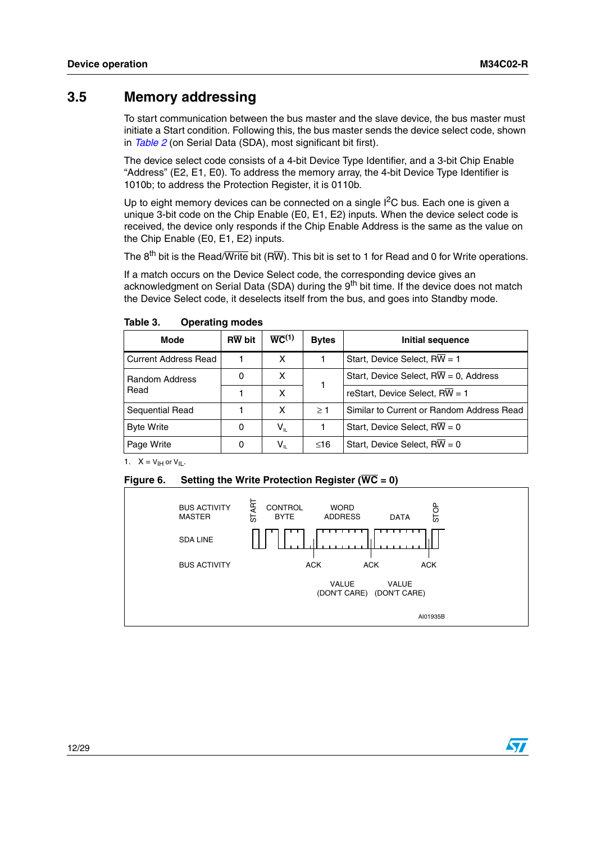### <span id="page-11-0"></span>**3.5 Memory addressing**

To start communication between the bus master and the slave device, the bus master must initiate a Start condition. Following this, the bus master sends the device select code, shown in *[Table 2](#page-9-0)* (on Serial Data (SDA), most significant bit first).

The device select code consists of a 4-bit Device Type Identifier, and a 3-bit Chip Enable "Address" (E2, E1, E0). To address the memory array, the 4-bit Device Type Identifier is 1010b; to address the Protection Register, it is 0110b.

Up to eight memory devices can be connected on a single  $I^2C$  bus. Each one is given a unique 3-bit code on the Chip Enable (E0, E1, E2) inputs. When the device select code is received, the device only responds if the Chip Enable Address is the same as the value on the Chip Enable (E0, E1, E2) inputs.

The  $8^{th}$  bit is the Read/Write bit (RW). This bit is set to 1 for Read and 0 for Write operations.

If a match occurs on the Device Select code, the corresponding device gives an acknowledgment on Serial Data (SDA) during the 9<sup>th</sup> bit time. If the device does not match the Device Select code, it deselects itself from the bus, and goes into Standby mode.

| Mode                        | <b>RW</b> bit | $\overline{WC}^{(1)}$ | <b>Bytes</b> | Initial sequence                                    |
|-----------------------------|---------------|-----------------------|--------------|-----------------------------------------------------|
| <b>Current Address Read</b> |               | x                     |              | Start, Device Select, RW = 1                        |
| <b>Random Address</b>       |               | x                     |              | Start, Device Select, $R\overline{W} = 0$ , Address |
| Read                        |               | x                     |              | reStart, Device Select, $RW = 1$                    |
| Sequential Read             |               | х                     | >1           | Similar to Current or Random Address Read           |
| <b>Byte Write</b>           | 0             | $V_{IL}$              |              | Start, Device Select, $R\overline{W} = 0$           |
| Page Write                  | 0             | $\sf{V}_{\sf{IL}}$    | ≤16          | Start, Device Select, $R\overline{W} = 0$           |

<span id="page-11-1"></span>Table 3. **Operating modes** 

1.  $X = V_{\text{IH}}$  or  $V_{\text{IL}}$ .

#### <span id="page-11-2"></span>**Figure 6. Setting the Write Protection Register (WC = 0)**

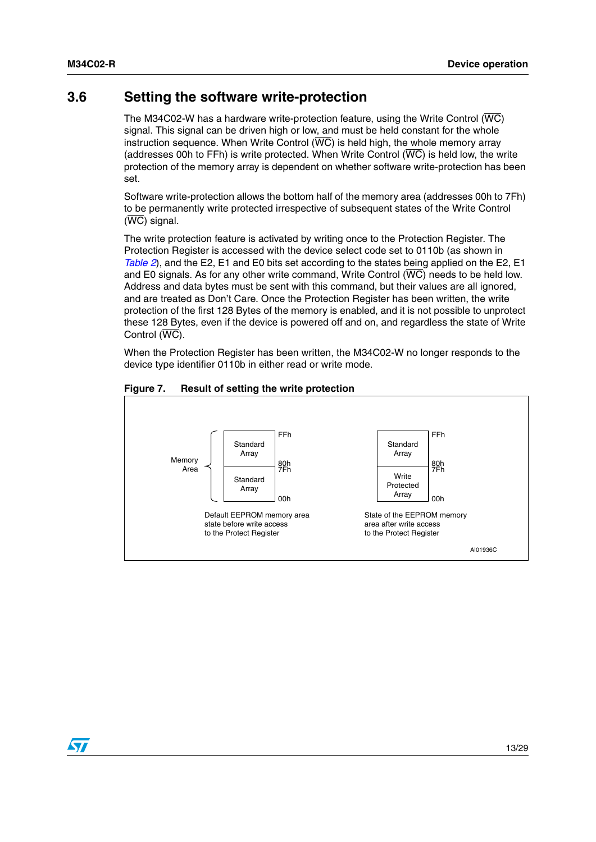$\bm{\nabla}$ 

### <span id="page-12-0"></span>**3.6 Setting the software write-protection**

The M34C02-W has a hardware write-protection feature, using the Write Control ( $\overline{\text{WC}}$ ) signal. This signal can be driven high or low, and must be held constant for the whole instruction sequence. When Write Control (WC) is held high, the whole memory array (addresses 00h to FFh) is write protected. When Write Control  $(\overline{WC})$  is held low, the write protection of the memory array is dependent on whether software write-protection has been set.

Software write-protection allows the bottom half of the memory area (addresses 00h to 7Fh) to be permanently write protected irrespective of subsequent states of the Write Control (WC) signal.

The write protection feature is activated by writing once to the Protection Register. The Protection Register is accessed with the device select code set to 0110b (as shown in *[Table 2](#page-9-0)*), and the E2, E1 and E0 bits set according to the states being applied on the E2, E1 and E0 signals. As for any other write command, Write Control (WC) needs to be held low. Address and data bytes must be sent with this command, but their values are all ignored, and are treated as Don't Care. Once the Protection Register has been written, the write protection of the first 128 Bytes of the memory is enabled, and it is not possible to unprotect these 128 Bytes, even if the device is powered off and on, and regardless the state of Write Control (WC).

When the Protection Register has been written, the M34C02-W no longer responds to the device type identifier 0110b in either read or write mode.



#### <span id="page-12-1"></span>**Figure 7. Result of setting the write protection**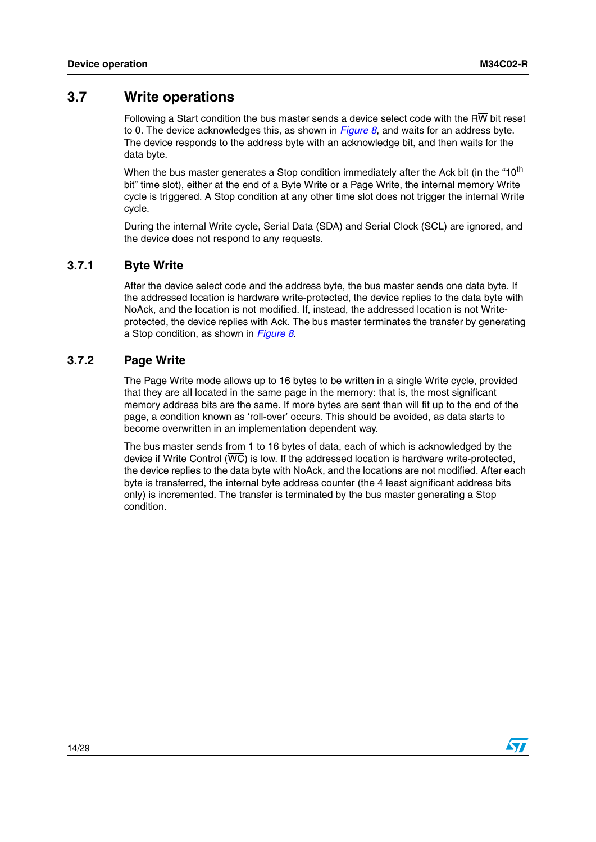### <span id="page-13-0"></span>**3.7 Write operations**

Following a Start condition the bus master sends a device select code with the R $\overline{W}$  bit reset to 0. The device acknowledges this, as shown in *[Figure 8](#page-14-0)*, and waits for an address byte. The device responds to the address byte with an acknowledge bit, and then waits for the data byte.

When the bus master generates a Stop condition immediately after the Ack bit (in the "10<sup>th</sup> bit" time slot), either at the end of a Byte Write or a Page Write, the internal memory Write cycle is triggered. A Stop condition at any other time slot does not trigger the internal Write cycle.

During the internal Write cycle, Serial Data (SDA) and Serial Clock (SCL) are ignored, and the device does not respond to any requests.

#### <span id="page-13-1"></span>**3.7.1 Byte Write**

After the device select code and the address byte, the bus master sends one data byte. If the addressed location is hardware write-protected, the device replies to the data byte with NoAck, and the location is not modified. If, instead, the addressed location is not Writeprotected, the device replies with Ack. The bus master terminates the transfer by generating a Stop condition, as shown in *[Figure 8](#page-14-0)*.

#### <span id="page-13-2"></span>**3.7.2 Page Write**

The Page Write mode allows up to 16 bytes to be written in a single Write cycle, provided that they are all located in the same page in the memory: that is, the most significant memory address bits are the same. If more bytes are sent than will fit up to the end of the page, a condition known as 'roll-over' occurs. This should be avoided, as data starts to become overwritten in an implementation dependent way.

The bus master sends from 1 to 16 bytes of data, each of which is acknowledged by the device if Write Control  $(\overline{WC})$  is low. If the addressed location is hardware write-protected, the device replies to the data byte with NoAck, and the locations are not modified. After each byte is transferred, the internal byte address counter (the 4 least significant address bits only) is incremented. The transfer is terminated by the bus master generating a Stop condition.

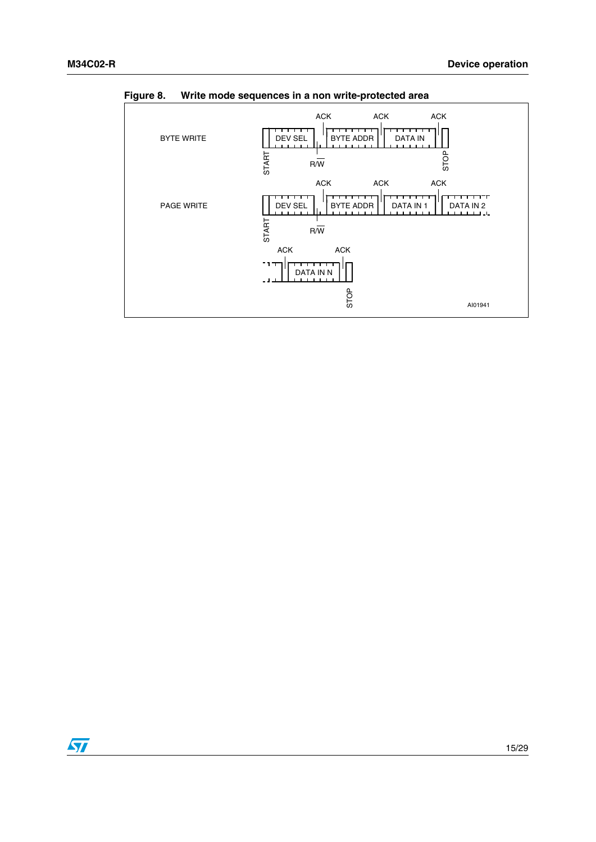

<span id="page-14-0"></span>**Figure 8. Write mode sequences in a non write-protected area**

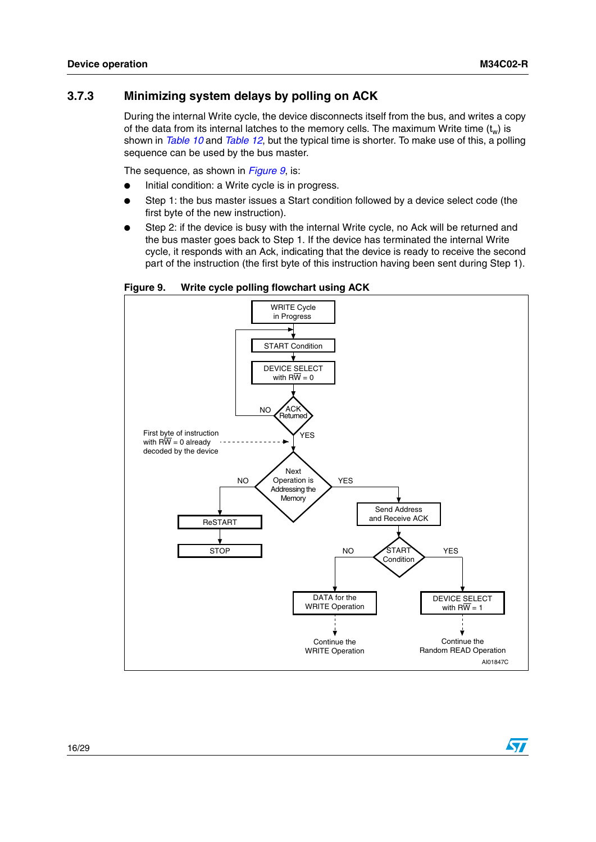#### <span id="page-15-0"></span>**3.7.3 Minimizing system delays by polling on ACK**

During the internal Write cycle, the device disconnects itself from the bus, and writes a copy of the data from its internal latches to the memory cells. The maximum Write time  $(t_w)$  is shown in *[Table 10](#page-22-1)* and *[Table 12](#page-25-0)*, but the typical time is shorter. To make use of this, a polling sequence can be used by the bus master.

The sequence, as shown in *[Figure 9](#page-15-1)*, is:

- Initial condition: a Write cycle is in progress.
- Step 1: the bus master issues a Start condition followed by a device select code (the first byte of the new instruction).
- Step 2: if the device is busy with the internal Write cycle, no Ack will be returned and the bus master goes back to Step 1. If the device has terminated the internal Write cycle, it responds with an Ack, indicating that the device is ready to receive the second part of the instruction (the first byte of this instruction having been sent during Step 1).

<span id="page-15-1"></span>**Figure 9. Write cycle polling flowchart using ACK**

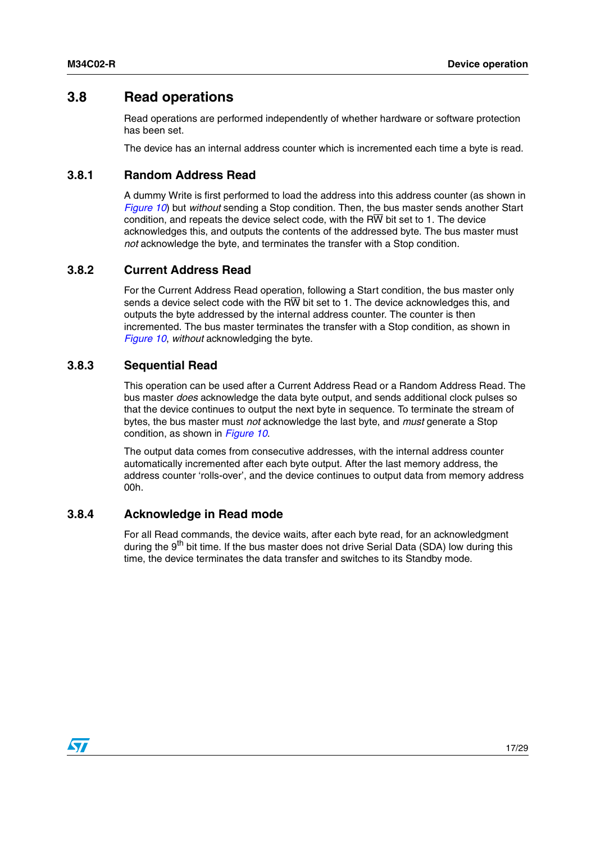### <span id="page-16-0"></span>**3.8 Read operations**

Read operations are performed independently of whether hardware or software protection has been set.

The device has an internal address counter which is incremented each time a byte is read.

#### <span id="page-16-1"></span>**3.8.1 Random Address Read**

A dummy Write is first performed to load the address into this address counter (as shown in *[Figure 10](#page-17-0)*) but *without* sending a Stop condition. Then, the bus master sends another Start condition, and repeats the device select code, with the RW bit set to 1. The device acknowledges this, and outputs the contents of the addressed byte. The bus master must *not* acknowledge the byte, and terminates the transfer with a Stop condition.

#### <span id="page-16-2"></span>**3.8.2 Current Address Read**

For the Current Address Read operation, following a Start condition, the bus master only sends a device select code with the  $\overline{RW}$  bit set to 1. The device acknowledges this, and outputs the byte addressed by the internal address counter. The counter is then incremented. The bus master terminates the transfer with a Stop condition, as shown in *[Figure 10](#page-17-0)*, *without* acknowledging the byte.

#### <span id="page-16-3"></span>**3.8.3 Sequential Read**

This operation can be used after a Current Address Read or a Random Address Read. The bus master *does* acknowledge the data byte output, and sends additional clock pulses so that the device continues to output the next byte in sequence. To terminate the stream of bytes, the bus master must *not* acknowledge the last byte, and *must* generate a Stop condition, as shown in *[Figure 10](#page-17-0)*.

The output data comes from consecutive addresses, with the internal address counter automatically incremented after each byte output. After the last memory address, the address counter 'rolls-over', and the device continues to output data from memory address 00h.

#### <span id="page-16-4"></span>**3.8.4 Acknowledge in Read mode**

For all Read commands, the device waits, after each byte read, for an acknowledgment during the  $9<sup>th</sup>$  bit time. If the bus master does not drive Serial Data (SDA) low during this time, the device terminates the data transfer and switches to its Standby mode.

 $\sqrt{}$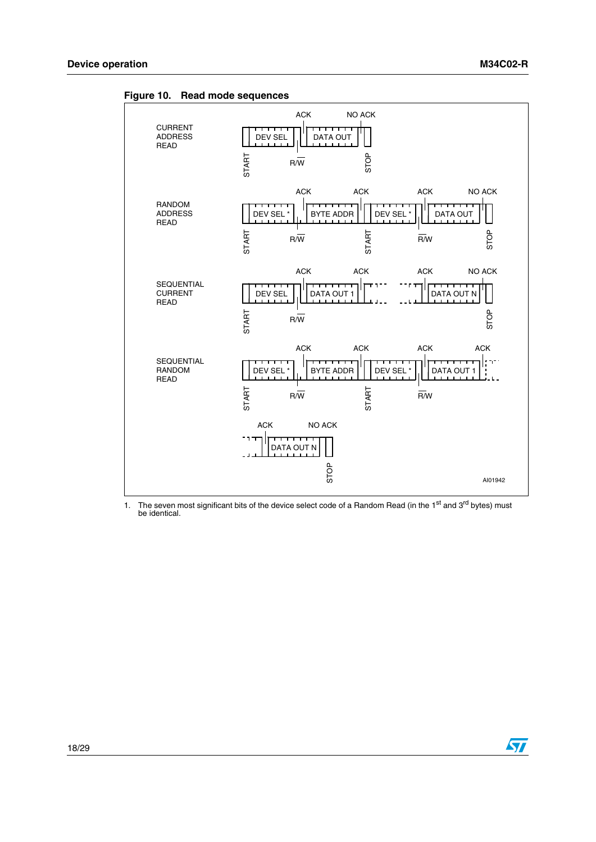

<span id="page-17-0"></span>**Figure 10. Read mode sequences**

1. The seven most significant bits of the device select code of a Random Read (in the 1<sup>st</sup> and 3<sup>rd</sup> bytes) must be identical.

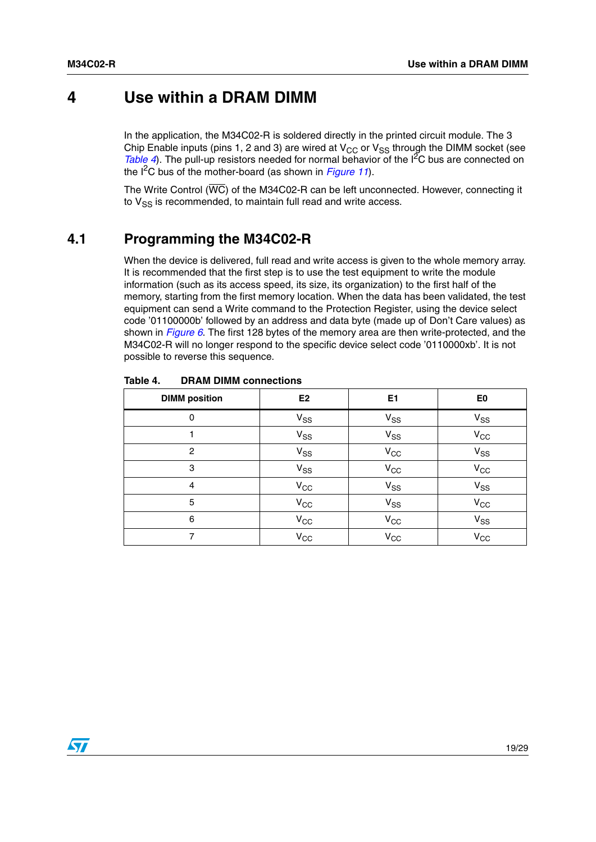# <span id="page-18-0"></span>**4 Use within a DRAM DIMM**

In the application, the M34C02-R is soldered directly in the printed circuit module. The 3 Chip Enable inputs (pins 1, 2 and 3) are wired at  $V_{CC}$  or  $V_{SS}$  through the DIMM socket (see *[Table 4](#page-18-2)*). The pull-up resistors needed for normal behavior of the I<sup>2</sup>C bus are connected on the I2C bus of the mother-board (as shown in *[Figure 11](#page-19-1)*).

The Write Control ( $\overline{WC}$ ) of the M34C02-R can be left unconnected. However, connecting it to  $V_{SS}$  is recommended, to maintain full read and write access.

### <span id="page-18-1"></span>**4.1 Programming the M34C02-R**

When the device is delivered, full read and write access is given to the whole memory array. It is recommended that the first step is to use the test equipment to write the module information (such as its access speed, its size, its organization) to the first half of the memory, starting from the first memory location. When the data has been validated, the test equipment can send a Write command to the Protection Register, using the device select code '01100000b' followed by an address and data byte (made up of Don't Care values) as shown in *[Figure 6](#page-11-2)*. The first 128 bytes of the memory area are then write-protected, and the M34C02-R will no longer respond to the specific device select code '0110000xb'. It is not possible to reverse this sequence.

| <b>DIMM</b> position | E <sub>2</sub> | E1                         | E <sub>0</sub> |
|----------------------|----------------|----------------------------|----------------|
| 0                    | $V_{SS}$       | $V_{SS}$                   | $V_{SS}$       |
|                      | $V_{SS}$       | $V_{SS}$                   | $V_{\rm CC}$   |
| $\overline{2}$       | $V_{SS}$       | $V_{\rm CC}$               | $V_{SS}$       |
| 3                    | $V_{SS}$       | $V_{CC}$                   | $V_{CC}$       |
| 4                    | $V_{CC}$       | $\mathsf{V}_{\mathsf{SS}}$ | $V_{SS}$       |
| 5                    | $V_{CC}$       | $V_{SS}$                   | $V_{CC}$       |
| 6                    | $V_{\rm CC}$   | $V_{CC}$                   | $V_{SS}$       |
| 7                    | $V_{\rm CC}$   | $V_{CC}$                   | $V_{\rm CC}$   |

<span id="page-18-2"></span>Table 4. **DRAM DIMM connections** 

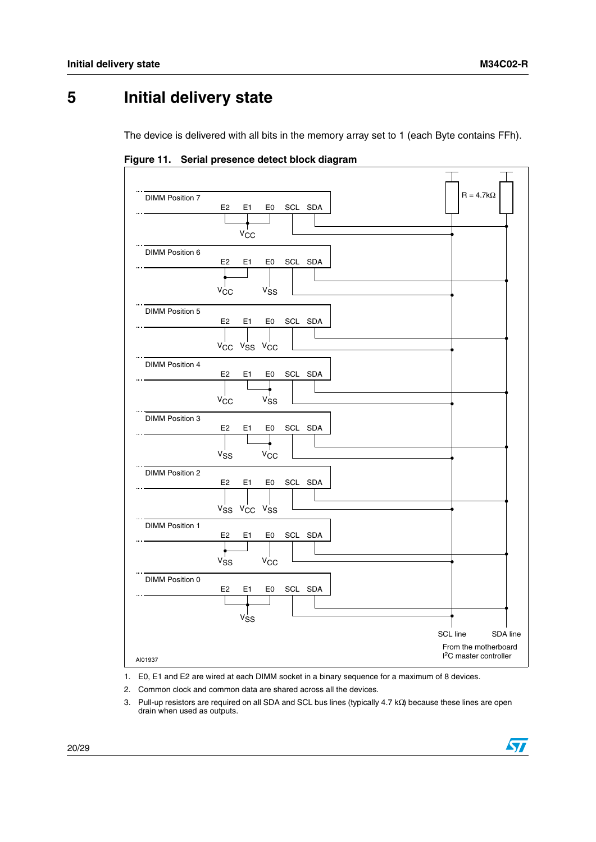# <span id="page-19-0"></span>**5 Initial delivery state**

The device is delivered with all bits in the memory array set to 1 (each Byte contains FFh).

<span id="page-19-1"></span>**Figure 11. Serial presence detect block diagram**

| <b>DIMM Position 7</b> | E <sub>2</sub><br>E1<br>SCL SDA<br>E0                                                                | $R = 4.7k\Omega$                                                                 |
|------------------------|------------------------------------------------------------------------------------------------------|----------------------------------------------------------------------------------|
| DIMM Position 6        | V <sub>CC</sub>                                                                                      |                                                                                  |
|                        | E <sub>2</sub><br>SCL SDA<br>E1<br>E0<br>$V_{\rm CC}$<br>$v_{SS}$                                    |                                                                                  |
| <b>DIMM Position 5</b> | E <sub>2</sub><br>E <sub>1</sub><br>E0<br>SCL SDA<br>Vcc Vss Vcc                                     |                                                                                  |
| <b>DIMM Position 4</b> | E <sub>2</sub><br>E <sub>1</sub><br>E0<br>SCL SDA<br>$V_{\rm CC}$<br>$v_{SS}$                        |                                                                                  |
| <b>DIMM Position 3</b> | E <sub>2</sub><br>E <sub>1</sub><br>E0<br>SCL SDA<br>$V_{CC}$<br>$V_{SS}$                            |                                                                                  |
| <b>DIMM Position 2</b> | E <sub>2</sub><br>E <sub>1</sub><br>E0<br>SCL SDA<br>V <sub>SS</sub> V <sub>CC</sub> V <sub>SS</sub> |                                                                                  |
| <b>DIMM Position 1</b> | E <sub>2</sub><br>E1<br>E0<br>SCL SDA<br>V <sub>CC</sub><br>$v_{SS}$                                 |                                                                                  |
| DIMM Position 0        | E <sub>2</sub><br>E1<br>E0<br>SCL SDA<br>$v_{SS}$                                                    |                                                                                  |
| AI01937                |                                                                                                      | SCL line<br>SDA line<br>From the motherboard<br><sup>2</sup> C master controller |

- 1. E0, E1 and E2 are wired at each DIMM socket in a binary sequence for a maximum of 8 devices.
- 2. Common clock and common data are shared across all the devices.
- 3. Pull-up resistors are required on all SDA and SCL bus lines (typically 4.7 kΩ) because these lines are open drain when used as outputs.

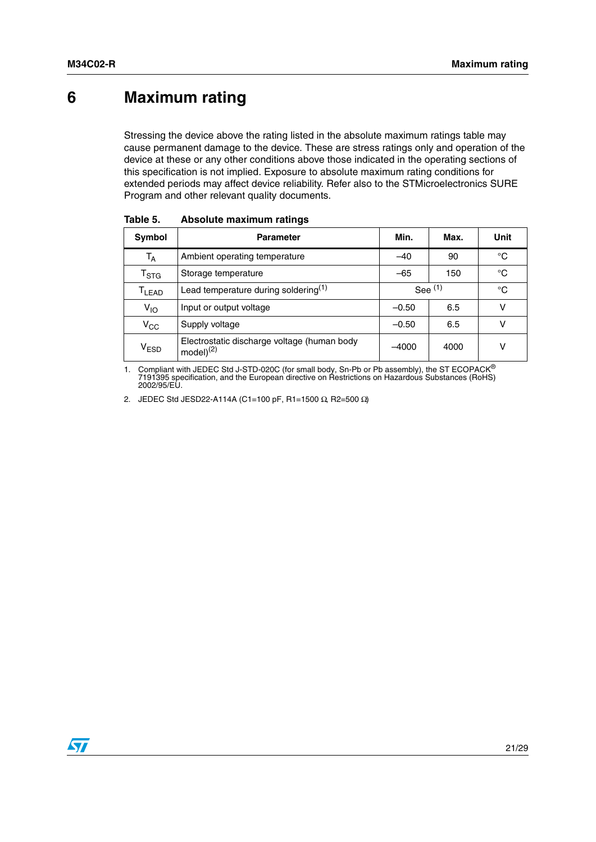# <span id="page-20-0"></span>**6 Maximum rating**

Stressing the device above the rating listed in the absolute maximum ratings table may cause permanent damage to the device. These are stress ratings only and operation of the device at these or any other conditions above those indicated in the operating sections of this specification is not implied. Exposure to absolute maximum rating conditions for extended periods may affect device reliability. Refer also to the STMicroelectronics SURE Program and other relevant quality documents.

| Symbol                       | <b>Parameter</b>                                                    | Min.      | Max. | Unit |
|------------------------------|---------------------------------------------------------------------|-----------|------|------|
| $T_A$                        | Ambient operating temperature                                       | $-40$     | 90   | °C   |
| $\mathsf{T}_{\text{STG}}$    | Storage temperature                                                 | $-65$     | 150  | °C   |
| $\mathsf{T}_{\mathsf{LEAD}}$ | Lead temperature during soldering $(1)$                             | See $(1)$ |      | °C   |
| $V_{1O}$                     | Input or output voltage                                             | $-0.50$   | 6.5  | ν    |
| $V_{\rm CC}$                 | Supply voltage                                                      | $-0.50$   | 6.5  | ν    |
| V <sub>ESD</sub>             | Electrostatic discharge voltage (human body<br>model <sup>(2)</sup> | $-4000$   | 4000 | ν    |

<span id="page-20-1"></span>Table 5. **Absolute maximum ratings** 

1. Compliant with JEDEC Std J-STD-020C (for small body, Sn-Pb or Pb assembly), the ST ECOPACK® 7191395 specification, and the European directive on Restrictions on Hazardous Substances (RoHS) 2002/95/EU.

2. JEDEC Std JESD22-A114A (C1=100 pF, R1=1500 Ω, R2=500 Ω)

 $\sqrt{2}$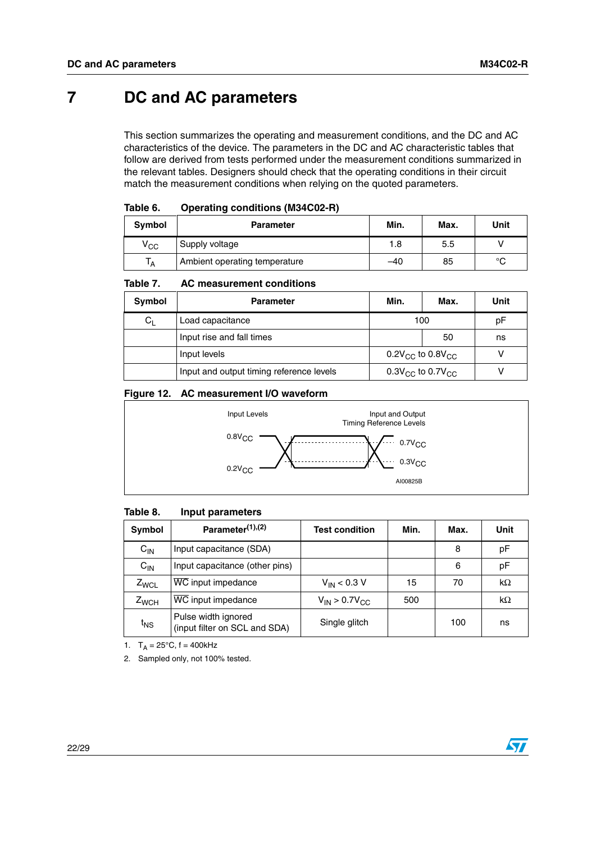# <span id="page-21-0"></span>**7 DC and AC parameters**

This section summarizes the operating and measurement conditions, and the DC and AC characteristics of the device. The parameters in the DC and AC characteristic tables that follow are derived from tests performed under the measurement conditions summarized in the relevant tables. Designers should check that the operating conditions in their circuit match the measurement conditions when relying on the quoted parameters.

<span id="page-21-1"></span>

| Symbol       | <b>Parameter</b>              | Min. | Max. | Unit   |
|--------------|-------------------------------|------|------|--------|
| $\rm v_{cc}$ | Supply voltage                | 1.8  | 5.5  |        |
| ١A           | Ambient operating temperature | -40  | 85   | $\sim$ |

#### <span id="page-21-2"></span>Table 7. **AC measurement conditions**

| Symbol  | <b>Parameter</b>                         | Min.                               | Max. | Unit |
|---------|------------------------------------------|------------------------------------|------|------|
| $C_{L}$ | Load capacitance                         | 100                                |      | рF   |
|         | Input rise and fall times                |                                    | 50   | ns   |
|         | Input levels                             | $0.2V_{\rm CC}$ to $0.8V_{\rm CC}$ |      |      |
|         | Input and output timing reference levels | $0.3V_{\rm CC}$ to $0.7V_{\rm CC}$ |      |      |

#### <span id="page-21-4"></span>**Figure 12. AC measurement I/O waveform**



#### <span id="page-21-3"></span>Table 8. **Input parameters**

| <b>Symbol</b> | Parameter <sup>(1),(2)</sup>                         | <b>Test condition</b>   | Min. | Max. | Unit      |
|---------------|------------------------------------------------------|-------------------------|------|------|-----------|
| $C_{IN}$      | Input capacitance (SDA)                              |                         |      | 8    | pF        |
| $C_{IN}$      | Input capacitance (other pins)                       |                         |      | 6    | pF        |
| $Z_{WCL}$     | WC input impedance                                   | $V_{IN}$ < 0.3 V        | 15   | 70   | $k\Omega$ |
| $Z_{WCH}$     | WC input impedance                                   | $V_{IN}$ > 0.7 $V_{CC}$ | 500  |      | $k\Omega$ |
| $t_{NS}$      | Pulse width ignored<br>(input filter on SCL and SDA) | Single glitch           |      | 100  | ns        |

1.  $T_A = 25^{\circ}C$ ,  $f = 400kHz$ 

2. Sampled only, not 100% tested.

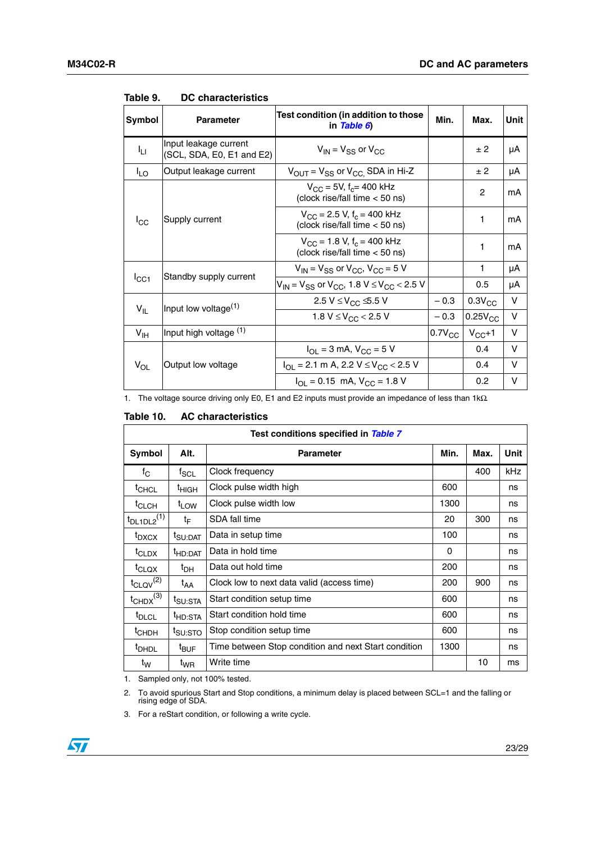| Symbol          | <b>Parameter</b>                                   | Test condition (in addition to those<br>in Table 6)                                  | Min.        | Max.         | Unit   |
|-----------------|----------------------------------------------------|--------------------------------------------------------------------------------------|-------------|--------------|--------|
| Iц              | Input leakage current<br>(SCL, SDA, E0, E1 and E2) | $V_{IN}$ = $V_{SS}$ or $V_{CC}$                                                      |             | ±2           | μA     |
| $I_{LO}$        | Output leakage current                             | $V_{OUT} = V_{SS}$ or $V_{CC}$ SDA in Hi-Z                                           |             | ± 2          | μA     |
|                 |                                                    | $V_{\rm CC}$ = 5V, f <sub>c</sub> = 400 kHz<br>(clock rise/fall time < 50 ns)        |             | 2            | mA     |
| $I_{\rm CC}$    | Supply current                                     | $V_{\rm CC}$ = 2.5 V, f <sub>c</sub> = 400 kHz<br>(clock rise/fall time < 50 ns)     |             | 1            | mА     |
|                 |                                                    | $V_{CC}$ = 1.8 V, f <sub>c</sub> = 400 kHz<br>(clock rise/fall time < 50 ns)         |             | 1            | mA     |
|                 | Standby supply current                             | $V_{IN}$ = $V_{SS}$ or $V_{CC}$ , $V_{CC}$ = 5 V                                     |             | 1            | μA     |
| ICC1            |                                                    | $V_{IN}$ = V <sub>SS</sub> or V <sub>CC</sub> , 1.8 V $\leq$ V <sub>CC</sub> < 2.5 V |             | 0.5          | μA     |
|                 | Input low voltage <sup>(1)</sup>                   | 2.5 V ≤ V <sub>CC</sub> ≤ 5.5 V                                                      | $-0.3$      | $0.3V_{CC}$  | $\vee$ |
| $V_{IL}$        |                                                    | 1.8 $V \leq V_{CC}$ < 2.5 V                                                          | $-0.3$      | $0.25V_{CC}$ | v      |
| $V_{\text{IH}}$ | Input high voltage (1)                             |                                                                                      | $0.7V_{CC}$ | $V_{CC}+1$   | v      |
|                 |                                                    | $I_{\text{OI}} = 3 \text{ mA}$ , $V_{\text{CC}} = 5 \text{ V}$                       |             | 0.4          | v      |
| $V_{OL}$        | Output low voltage                                 | $I_{\text{OI}}$ = 2.1 m A, 2.2 V $\leq$ V <sub>CC</sub> < 2.5 V                      |             | 0.4          | v      |
|                 |                                                    | $I_{\text{OI}} = 0.15$ mA, $V_{\text{CC}} = 1.8$ V                                   |             | 0.2          | v      |

#### <span id="page-22-0"></span>Table 9. **DC characteristics**

1. The voltage source driving only E0, E1 and E2 inputs must provide an impedance of less than 1kΩ.

#### <span id="page-22-1"></span>Table 10. **AC characteristics**

|                             |                     | Test conditions specified in Table 7                 |      |      |             |
|-----------------------------|---------------------|------------------------------------------------------|------|------|-------------|
| Symbol                      | Alt.                | <b>Parameter</b>                                     | Min. | Max. | <b>Unit</b> |
| $f_{\rm C}$                 | $t_{SCL}$           | Clock frequency                                      |      | 400  | kHz         |
| $t_{CHCL}$                  | <sup>t</sup> ніgн   | Clock pulse width high                               | 600  |      | ns          |
| $t_{CLCH}$                  | t <sub>LOW</sub>    | Clock pulse width low                                | 1300 |      | ns          |
| $t_{DL1DL2}$ <sup>(1)</sup> | t⊧                  | SDA fall time                                        | 20   | 300  | ns          |
| t <sub>DXCX</sub>           | t <sub>SU:DAT</sub> | Data in setup time                                   | 100  |      | ns          |
| <sup>t</sup> CLDX           | <sup>t</sup> HD:DAT | Data in hold time                                    | 0    |      | ns          |
| $t_{\text{CLQX}}$           | $t_{\text{DH}}$     | Data out hold time                                   | 200  |      | ns          |
| $t_{\text{CLQV}}^{(2)}$     | t <sub>AA</sub>     | Clock low to next data valid (access time)           | 200  | 900  | ns          |
| $t_{CHDX}$ <sup>(3)</sup>   | <sup>I</sup> SU:STA | Start condition setup time                           | 600  |      | ns          |
| <sup>t</sup> DLCL           | <sup>t</sup> HD:STA | Start condition hold time                            | 600  |      | ns          |
| <sup>t</sup> CHDH           | t <sub>SU:STO</sub> | Stop condition setup time                            | 600  |      | ns          |
| <sup>t</sup> DHDL           | $t_{\text{BUF}}$    | Time between Stop condition and next Start condition | 1300 |      | ns          |
| t <sub>w</sub>              | $t_{WR}$            | Write time                                           |      | 10   | ms          |

1. Sampled only, not 100% tested.

2. To avoid spurious Start and Stop conditions, a minimum delay is placed between SCL=1 and the falling or rising edge of SDA.

3. For a reStart condition, or following a write cycle.

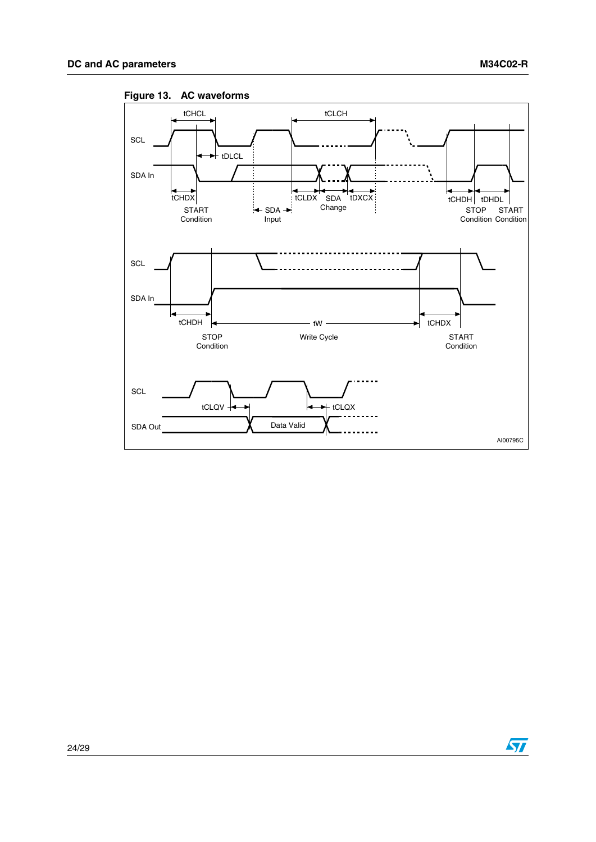

<span id="page-23-0"></span>**Figure 13. AC waveforms**



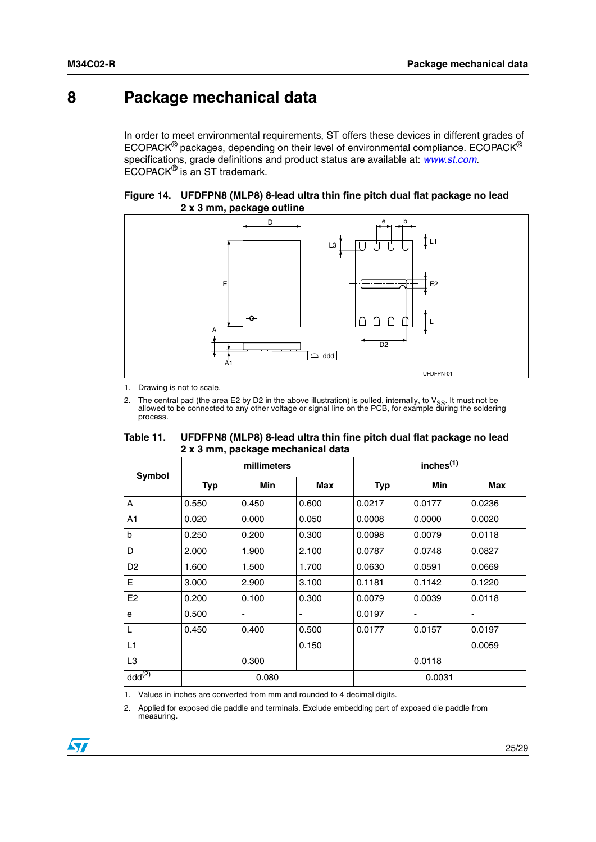# <span id="page-24-0"></span>**8 Package mechanical data**

In order to meet environmental requirements, ST offers these devices in different grades of ECOPACK® packages, depending on their level of environmental compliance. ECOPACK® specifications, grade definitions and product status are available at: *www.st.com*. ECOPACK® is an ST trademark.

#### <span id="page-24-2"></span>**Figure 14. UFDFPN8 (MLP8) 8-lead ultra thin fine pitch dual flat package no lead 2 x 3 mm, package outline**



1. Drawing is not to scale.

2. The central pad (the area E2 by D2 in the above illustration) is pulled, internally, to V<sub>SS</sub>. It must not be<br>allowed to be connected to any other voltage or signal line on the PCB, for example during the soldering process.

<span id="page-24-1"></span>

| Table 11. | UFDFPN8 (MLP8) 8-lead ultra thin fine pitch dual flat package no lead |
|-----------|-----------------------------------------------------------------------|
|           | 2 x 3 mm, package mechanical data                                     |

| Symbol         |            | millimeters              |       |            | inches <sup>(1)</sup>    |            |
|----------------|------------|--------------------------|-------|------------|--------------------------|------------|
|                | <b>Typ</b> | Min                      | Max   | <b>Typ</b> | Min                      | <b>Max</b> |
| A              | 0.550      | 0.450                    | 0.600 | 0.0217     | 0.0177                   | 0.0236     |
| A1             | 0.020      | 0.000                    | 0.050 | 0.0008     | 0.0000                   | 0.0020     |
| $\mathsf b$    | 0.250      | 0.200                    | 0.300 | 0.0098     | 0.0079                   | 0.0118     |
| D              | 2.000      | 1.900                    | 2.100 | 0.0787     | 0.0748                   | 0.0827     |
| D <sub>2</sub> | 1.600      | 1.500                    | 1.700 | 0.0630     | 0.0591                   | 0.0669     |
| E              | 3.000      | 2.900                    | 3.100 | 0.1181     | 0.1142                   | 0.1220     |
| E <sub>2</sub> | 0.200      | 0.100                    | 0.300 | 0.0079     | 0.0039                   | 0.0118     |
| $\mathbf{e}$   | 0.500      | $\overline{\phantom{a}}$ |       | 0.0197     | $\overline{\phantom{a}}$ | ٠          |
| L              | 0.450      | 0.400                    | 0.500 | 0.0177     | 0.0157                   | 0.0197     |
| L1             |            |                          | 0.150 |            |                          | 0.0059     |
| L <sub>3</sub> |            | 0.300                    |       |            | 0.0118                   |            |
| $ddd^{(2)}$    |            | 0.080                    |       |            | 0.0031                   |            |

1. Values in inches are converted from mm and rounded to 4 decimal digits.

2. Applied for exposed die paddle and terminals. Exclude embedding part of exposed die paddle from measuring.

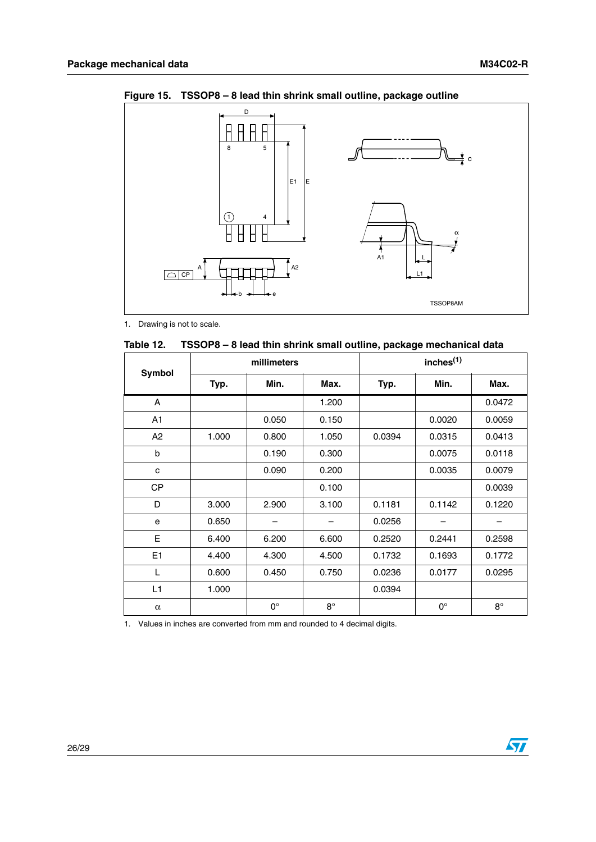

<span id="page-25-1"></span>**Figure 15. TSSOP8 – 8 lead thin shrink small outline, package outline**

1. Drawing is not to scale.

<span id="page-25-0"></span>

|  |  |  | Table 12. TSSOP8 - 8 lead thin shrink small outline, package mechanical data |
|--|--|--|------------------------------------------------------------------------------|
|--|--|--|------------------------------------------------------------------------------|

| Symbol         |       | millimeters |           |        | inches <sup>(1)</sup> |             |
|----------------|-------|-------------|-----------|--------|-----------------------|-------------|
|                | Typ.  | Min.        | Max.      | Typ.   | Min.                  | Max.        |
| A              |       |             | 1.200     |        |                       | 0.0472      |
| A <sub>1</sub> |       | 0.050       | 0.150     |        | 0.0020                | 0.0059      |
| A <sub>2</sub> | 1.000 | 0.800       | 1.050     | 0.0394 | 0.0315                | 0.0413      |
| b              |       | 0.190       | 0.300     |        | 0.0075                | 0.0118      |
| с              |       | 0.090       | 0.200     |        | 0.0035                | 0.0079      |
| <b>CP</b>      |       |             | 0.100     |        |                       | 0.0039      |
| D              | 3.000 | 2.900       | 3.100     | 0.1181 | 0.1142                | 0.1220      |
| e              | 0.650 |             |           | 0.0256 |                       |             |
| E              | 6.400 | 6.200       | 6.600     | 0.2520 | 0.2441                | 0.2598      |
| E <sub>1</sub> | 4.400 | 4.300       | 4.500     | 0.1732 | 0.1693                | 0.1772      |
| L              | 0.600 | 0.450       | 0.750     | 0.0236 | 0.0177                | 0.0295      |
| L1             | 1.000 |             |           | 0.0394 |                       |             |
| $\alpha$       |       | $0^{\circ}$ | $8^\circ$ |        | $0^{\circ}$           | $8^{\circ}$ |

1. Values in inches are converted from mm and rounded to 4 decimal digits.

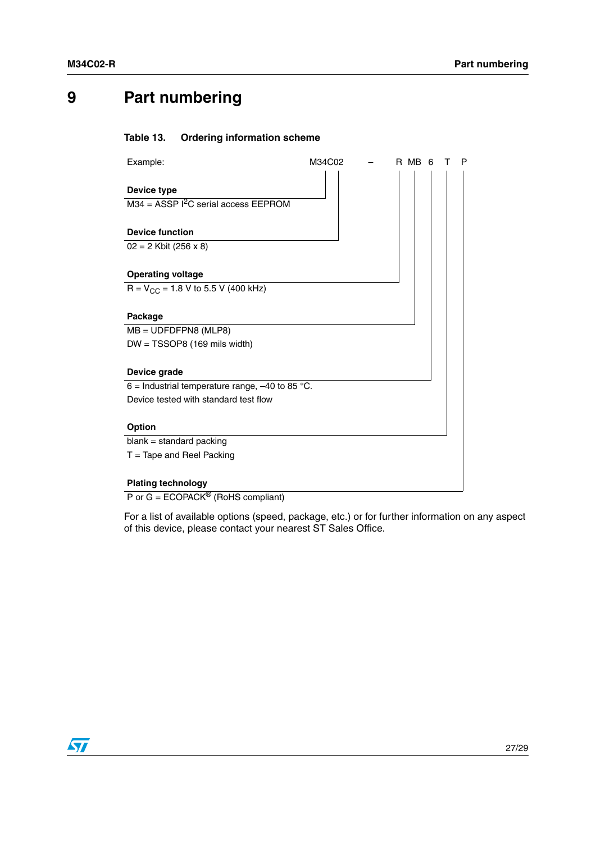# <span id="page-26-0"></span>**9 Part numbering**

#### <span id="page-26-1"></span>Table 13. **Ordering information scheme**

| Example:                                                            | M34C02 | R MB<br>Р<br>6 |
|---------------------------------------------------------------------|--------|----------------|
| <b>Device type</b><br>$M34 = ASSP I2C$ serial access EEPROM         |        |                |
| <b>Device function</b><br>$02 = 2$ Kbit (256 x 8)                   |        |                |
| <b>Operating voltage</b><br>$R = V_{CC} = 1.8 V$ to 5.5 V (400 kHz) |        |                |
| Package<br>$MB = UDFDFPN8$ (MLP8)                                   |        |                |
| $DW = TSSOP8$ (169 mils width)                                      |        |                |
| Device grade<br>6 = Industrial temperature range, $-40$ to 85 °C.   |        |                |
| Device tested with standard test flow                               |        |                |
| <b>Option</b>                                                       |        |                |
| $blank = standard packing$                                          |        |                |
| $T =$ Tape and Reel Packing                                         |        |                |
| <b>Plating technology</b>                                           |        |                |

P or  $G = ECOPACK^{\circledR}$  (RoHS compliant)

For a list of available options (speed, package, etc.) or for further information on any aspect of this device, please contact your nearest ST Sales Office.

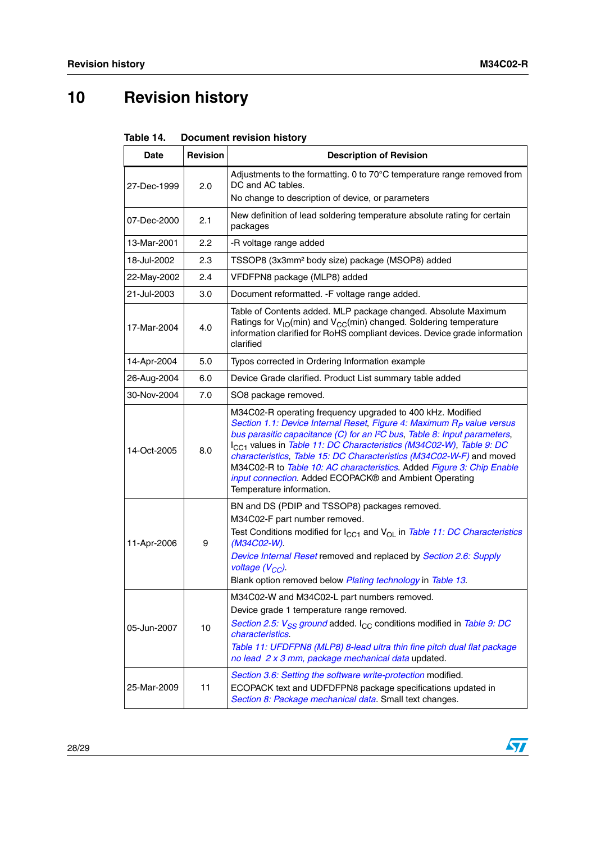# <span id="page-27-0"></span>**10 Revision history**

<span id="page-27-1"></span>

| <b>Document revision history</b><br>Table 14. |
|-----------------------------------------------|
|-----------------------------------------------|

| <b>Date</b> | <b>Revision</b> | <b>Description of Revision</b>                                                                                                                                                                                                                                                                                                                                                                                                                                                                                                                                     |
|-------------|-----------------|--------------------------------------------------------------------------------------------------------------------------------------------------------------------------------------------------------------------------------------------------------------------------------------------------------------------------------------------------------------------------------------------------------------------------------------------------------------------------------------------------------------------------------------------------------------------|
| 27-Dec-1999 | 2.0             | Adjustments to the formatting. 0 to 70°C temperature range removed from<br>DC and AC tables.                                                                                                                                                                                                                                                                                                                                                                                                                                                                       |
|             |                 | No change to description of device, or parameters                                                                                                                                                                                                                                                                                                                                                                                                                                                                                                                  |
| 07-Dec-2000 | 2.1             | New definition of lead soldering temperature absolute rating for certain<br>packages                                                                                                                                                                                                                                                                                                                                                                                                                                                                               |
| 13-Mar-2001 | $2.2^{\circ}$   | -R voltage range added                                                                                                                                                                                                                                                                                                                                                                                                                                                                                                                                             |
| 18-Jul-2002 | 2.3             | TSSOP8 (3x3mm <sup>2</sup> body size) package (MSOP8) added                                                                                                                                                                                                                                                                                                                                                                                                                                                                                                        |
| 22-May-2002 | 2.4             | VFDFPN8 package (MLP8) added                                                                                                                                                                                                                                                                                                                                                                                                                                                                                                                                       |
| 21-Jul-2003 | 3.0             | Document reformatted. - F voltage range added.                                                                                                                                                                                                                                                                                                                                                                                                                                                                                                                     |
| 17-Mar-2004 | 4.0             | Table of Contents added. MLP package changed. Absolute Maximum<br>Ratings for $V_{IO}(min)$ and $V_{CC}(min)$ changed. Soldering temperature<br>information clarified for RoHS compliant devices. Device grade information<br>clarified                                                                                                                                                                                                                                                                                                                            |
| 14-Apr-2004 | 5.0             | Typos corrected in Ordering Information example                                                                                                                                                                                                                                                                                                                                                                                                                                                                                                                    |
| 26-Aug-2004 | 6.0             | Device Grade clarified. Product List summary table added                                                                                                                                                                                                                                                                                                                                                                                                                                                                                                           |
| 30-Nov-2004 | 7.0             | SO8 package removed.                                                                                                                                                                                                                                                                                                                                                                                                                                                                                                                                               |
| 14-Oct-2005 | 8.0             | M34C02-R operating frequency upgraded to 400 kHz. Modified<br>Section 1.1: Device Internal Reset, Figure 4: Maximum R <sub>P</sub> value versus<br>bus parasitic capacitance (C) for an I <sup>2</sup> C bus, Table 8: Input parameters,<br>I <sub>CC1</sub> values in Table 11: DC Characteristics (M34C02-W), Table 9: DC<br>characteristics, Table 15: DC Characteristics (M34C02-W-F) and moved<br>M34C02-R to Table 10: AC characteristics. Added Figure 3: Chip Enable<br>input connection. Added ECOPACK® and Ambient Operating<br>Temperature information. |
| 11-Apr-2006 | 9               | BN and DS (PDIP and TSSOP8) packages removed.<br>M34C02-F part number removed.<br>Test Conditions modified for I <sub>CC1</sub> and V <sub>OL</sub> in Table 11: DC Characteristics<br>(M34C02-W).<br>Device Internal Reset removed and replaced by Section 2.6: Supply<br>voltage $(V_{CC})$ .<br>Blank option removed below Plating technology in Table 13.                                                                                                                                                                                                      |
| 05-Jun-2007 | 10              | M34C02-W and M34C02-L part numbers removed.<br>Device grade 1 temperature range removed.<br>Section 2.5: $V_{SS}$ ground added. $I_{CC}$ conditions modified in Table 9: DC<br><i>characteristics.</i><br>Table 11: UFDFPN8 (MLP8) 8-lead ultra thin fine pitch dual flat package<br>no lead 2 x 3 mm, package mechanical data updated.                                                                                                                                                                                                                            |
| 25-Mar-2009 | 11              | Section 3.6: Setting the software write-protection modified.<br>ECOPACK text and UDFDFPN8 package specifications updated in<br>Section 8: Package mechanical data. Small text changes.                                                                                                                                                                                                                                                                                                                                                                             |